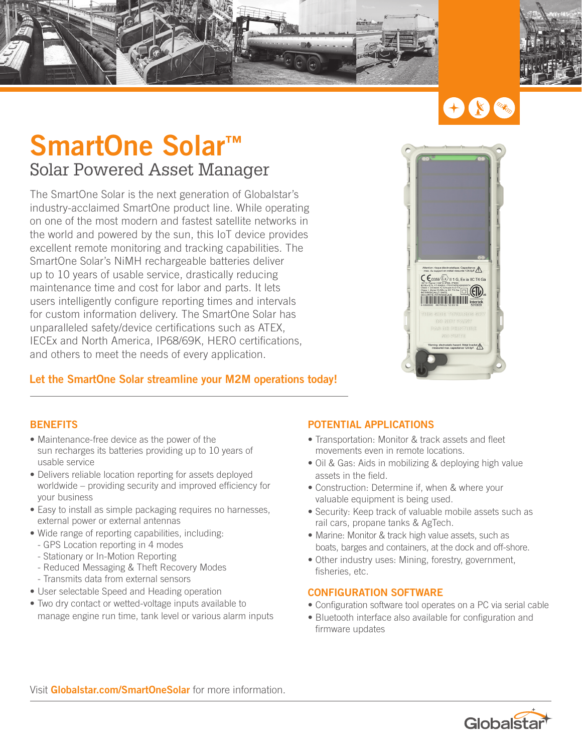





## **SmartOne Solar™** Solar Powered Asset Manager

The SmartOne Solar is the next generation of Globalstar's industry-acclaimed SmartOne product line. While operating on one of the most modern and fastest satellite networks in the world and powered by the sun, this IoT device provides excellent remote monitoring and tracking capabilities. The SmartOne Solar's NiMH rechargeable batteries deliver up to 10 years of usable service, drastically reducing maintenance time and cost for labor and parts. It lets users intelligently configure reporting times and intervals for custom information delivery. The SmartOne Solar has unparalleled safety/device certifications such as ATEX, IECEx and North America, IP68/69K, HERO certifications, and others to meet the needs of every application.



## **Let the SmartOne Solar streamline your M2M operations today!**

### **BENEFITS**

- Maintenance-free device as the power of the sun recharges its batteries providing up to 10 years of usable service
- Delivers reliable location reporting for assets deployed worldwide – providing security and improved efficiency for your business
- Easy to install as simple packaging requires no harnesses, external power or external antennas
- Wide range of reporting capabilities, including:
- GPS Location reporting in 4 modes
- Stationary or In-Motion Reporting
- Reduced Messaging & Theft Recovery Modes - Transmits data from external sensors
- User selectable Speed and Heading operation
- Two dry contact or wetted-voltage inputs available to manage engine run time, tank level or various alarm inputs

## **POTENTIAL APPLICATIONS**

- Transportation: Monitor & track assets and fleet movements even in remote locations.
- Oil & Gas: Aids in mobilizing & deploying high value assets in the field.
- Construction: Determine if, when & where your valuable equipment is being used.
- Security: Keep track of valuable mobile assets such as rail cars, propane tanks & AgTech.
- Marine: Monitor & track high value assets, such as boats, barges and containers, at the dock and off-shore.
- Other industry uses: Mining, forestry, government, fisheries, etc.

### **CONFIGURATION SOFTWARE**

- Configuration software tool operates on a PC via serial cable
- Bluetooth interface also available for configuration and firmware updates

Visit **Globalstar.com/SmartOneSolar** for more information.